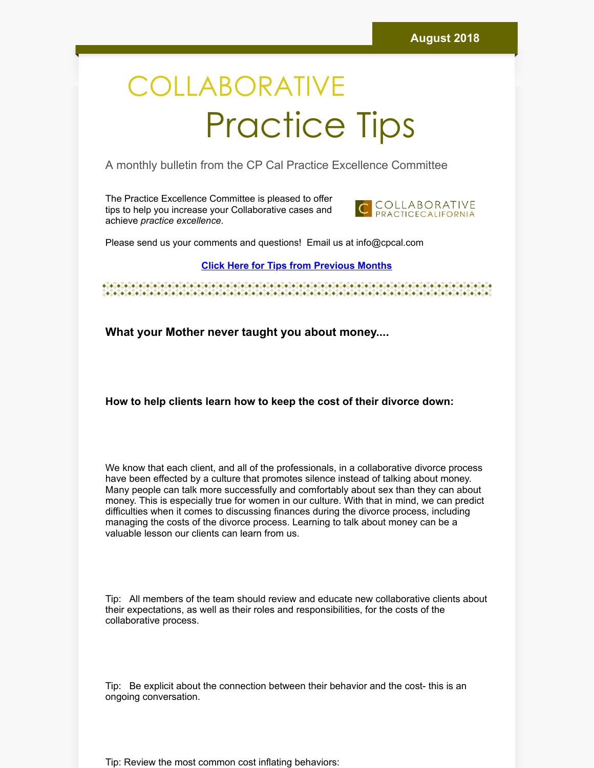## **COLLABORATIVE** Practice Tips

A monthly bulletin from the CP Cal Practice Excellence Committee

The Practice Excellence Committee is pleased to offer tips to help you increase your Collaborative cases and achieve *practice excellence.*



Please send us your comments and questions! Email us at info@cpcal.com

## **Click Here for Tips from [Previous](http://www.cpcal.com/for-professionals/practice-tips-newsletter/) Months**

 $\bullet\hspace{0.2cm} \bullet\hspace{0.2cm} \bullet\hspace{0.2cm} \bullet\hspace{0.2cm} \bullet\hspace{0.2cm} \bullet\hspace{0.2cm} \bullet\hspace{0.2cm} \bullet\hspace{0.2cm} \bullet\hspace{0.2cm} \bullet\hspace{0.2cm} \bullet\hspace{0.2cm} \bullet\hspace{0.2cm} \bullet\hspace{0.2cm} \bullet\hspace{0.2cm} \bullet\hspace{0.2cm} \bullet\hspace{0.2cm} \bullet\hspace{0.2cm} \bullet\hspace{0.2cm} \bullet\hspace{0.2cm} \bullet\hspace{0.2cm}$ 

**What your Mother never taught you about money....**

**How to help clients learn how to keep the cost of their divorce down:**

We know that each client, and all of the professionals, in a collaborative divorce process have been effected by a culture that promotes silence instead of talking about money. Many people can talk more successfully and comfortably about sex than they can about money. This is especially true for women in our culture. With that in mind, we can predict difficulties when it comes to discussing finances during the divorce process, including managing the costs of the divorce process. Learning to talk about money can be a valuable lesson our clients can learn from us.

Tip: All members of the team should review and educate new collaborative clients about their expectations, as well as their roles and responsibilities, for the costs of the collaborative process.

Tip: Be explicit about the connection between their behavior and the cost- this is an ongoing conversation.

Tip: Review the most common cost inflating behaviors: